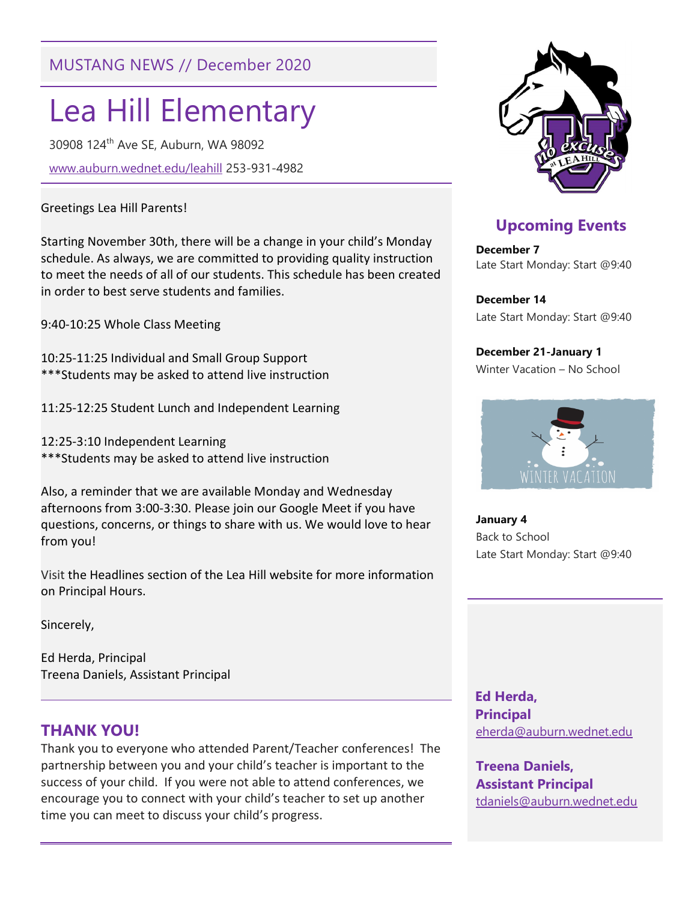## MUSTANG NEWS // December 2020

# Lea Hill Elementary

30908 124th Ave SE, Auburn, WA 98092

www.auburn.wednet.edu/leahill 253-931-4982

#### Greetings Lea Hill Parents!

Starting November 30th, there will be a change in your child's Monday schedule. As always, we are committed to providing quality instruction to meet the needs of all of our students. This schedule has been created in order to best serve students and families.

9:40-10:25 Whole Class Meeting

10:25-11:25 Individual and Small Group Support \*\*\*Students may be asked to attend live instruction

11:25-12:25 Student Lunch and Independent Learning

12:25-3:10 Independent Learning \*\*\*Students may be asked to attend live instruction

Also, a reminder that we are available Monday and Wednesday afternoons from 3:00-3:30. Please join our Google Meet if you have questions, concerns, or things to share with us. We would love to hear from you!

Visit the Headlines section of the Lea Hill website for more information on Principal Hours.

Sincerely,

Ed Herda, Principal Treena Daniels, Assistant Principal

### THANK YOU!

Thank you to everyone who attended Parent/Teacher conferences! The partnership between you and your child's teacher is important to the success of your child. If you were not able to attend conferences, we encourage you to connect with your child's teacher to set up another time you can meet to discuss your child's progress.



## Upcoming Events

December 7 Late Start Monday: Start @9:40

December 14 Late Start Monday: Start @9:40

December 21-January 1 Winter Vacation – No School



January 4 Back to School Late Start Monday: Start @9:40

 Ed Herda, **Principal** eherda@auburn.wednet.edu

Treena Daniels, Assistant Principal tdaniels@auburn.wednet.edu